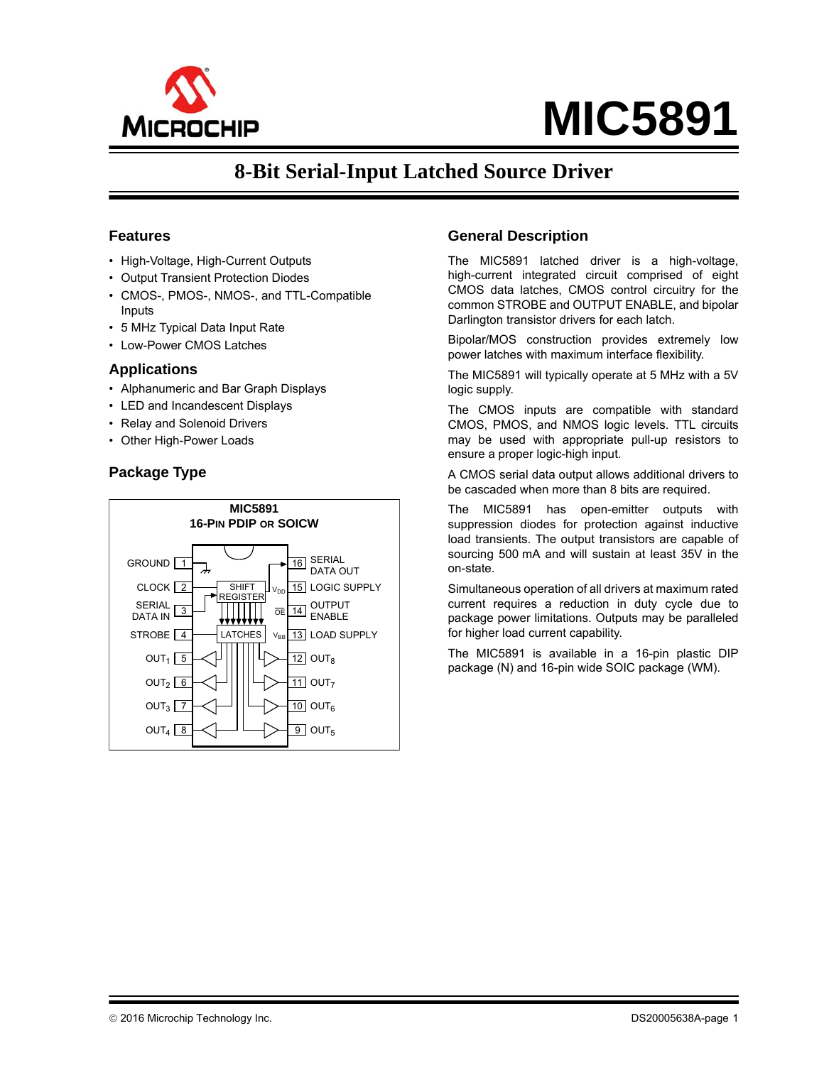

# **8-Bit Serial-Input Latched Source Driver**

### **Features**

- High-Voltage, High-Current Outputs
- Output Transient Protection Diodes
- CMOS-, PMOS-, NMOS-, and TTL-Compatible Inputs
- 5 MHz Typical Data Input Rate
- Low-Power CMOS Latches

#### **Applications**

- Alphanumeric and Bar Graph Displays
- LED and Incandescent Displays
- Relay and Solenoid Drivers
- Other High-Power Loads

#### **Package Type**



#### **General Description**

The MIC5891 latched driver is a high-voltage, high-current integrated circuit comprised of eight CMOS data latches, CMOS control circuitry for the common STROBE and OUTPUT ENABLE, and bipolar Darlington transistor drivers for each latch.

Bipolar/MOS construction provides extremely low power latches with maximum interface flexibility.

The MIC5891 will typically operate at 5 MHz with a 5V logic supply.

The CMOS inputs are compatible with standard CMOS, PMOS, and NMOS logic levels. TTL circuits may be used with appropriate pull-up resistors to ensure a proper logic-high input.

A CMOS serial data output allows additional drivers to be cascaded when more than 8 bits are required.

The MIC5891 has open-emitter outputs with suppression diodes for protection against inductive load transients. The output transistors are capable of sourcing 500 mA and will sustain at least 35V in the on-state.

Simultaneous operation of all drivers at maximum rated current requires a reduction in duty cycle due to package power limitations. Outputs may be paralleled for higher load current capability.

The MIC5891 is available in a 16-pin plastic DIP package (N) and 16-pin wide SOIC package (WM).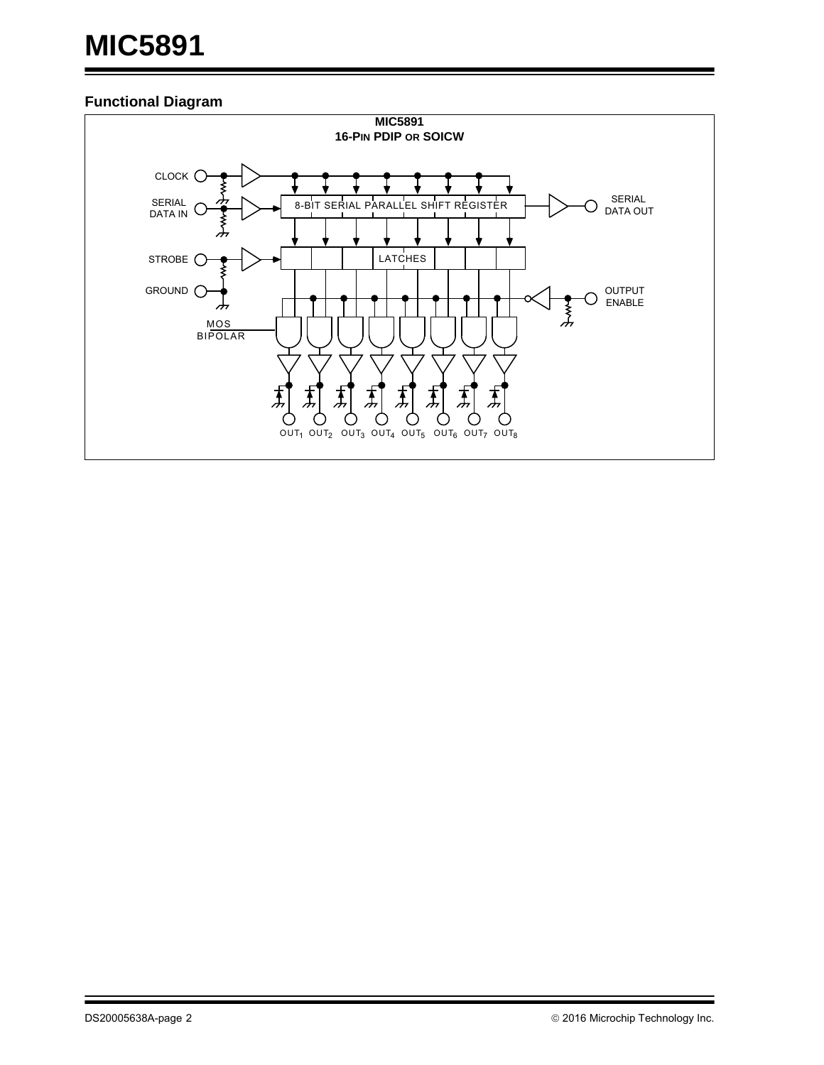# **Functional Diagram**

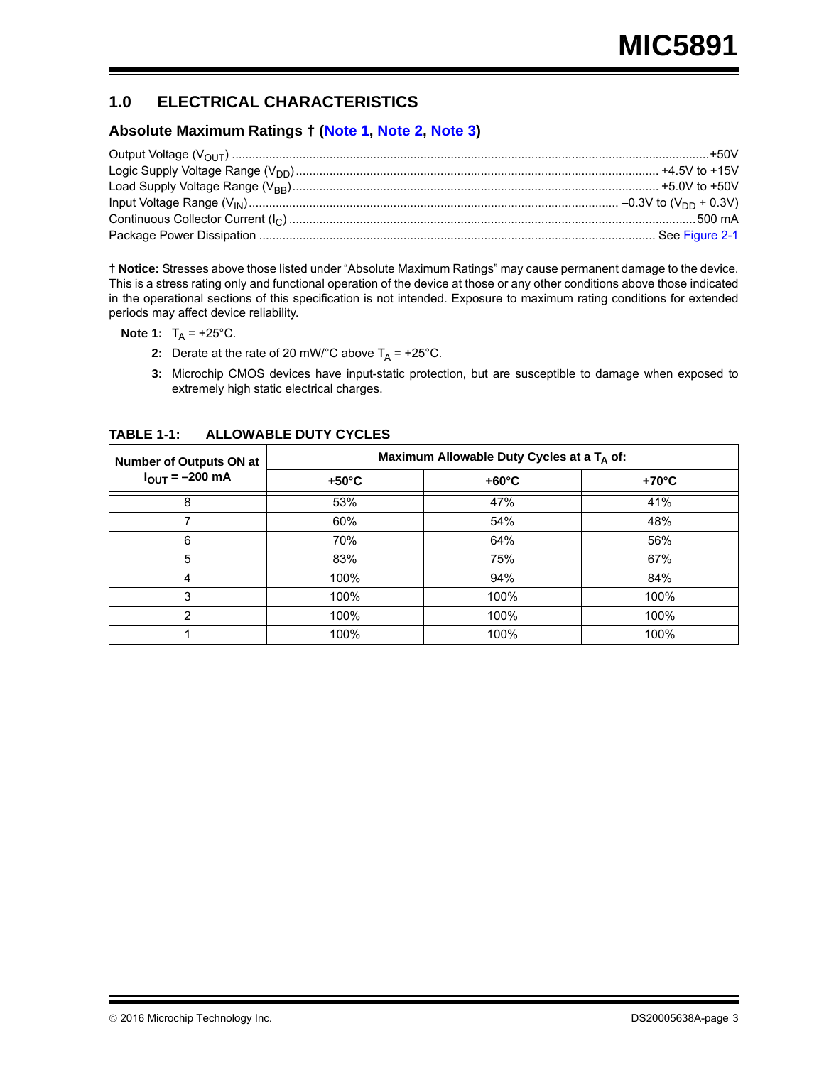# **1.0 ELECTRICAL CHARACTERISTICS**

# **Absolute Maximum Ratings † ([Note 1](#page-2-0), [Note 2](#page-2-1), [Note 3\)](#page-2-2)**

**† Notice:** Stresses above those listed under "Absolute Maximum Ratings" may cause permanent damage to the device. This is a stress rating only and functional operation of the device at those or any other conditions above those indicated in the operational sections of this specification is not intended. Exposure to maximum rating conditions for extended periods may affect device reliability.

#### <span id="page-2-2"></span><span id="page-2-1"></span><span id="page-2-0"></span>**Note 1:**  $T_A = +25^{\circ}C$ .

- **2:** Derate at the rate of 20 mW/°C above  $T_A$  = +25°C.
- **3:** Microchip CMOS devices have input-static protection, but are susceptible to damage when exposed to extremely high static electrical charges.

| Number of Outputs ON at | Maximum Allowable Duty Cycles at a TA of: |                 |                 |  |  |  |
|-------------------------|-------------------------------------------|-----------------|-----------------|--|--|--|
| $I_{OUT} = -200$ mA     | $+50^{\circ}$ C                           | $+60^{\circ}$ C | $+70^{\circ}$ C |  |  |  |
| 8                       | 53%                                       | 47%             | 41%             |  |  |  |
|                         | 60%                                       | 54%             | 48%             |  |  |  |
| 6                       | 70%                                       | 64%             | 56%             |  |  |  |
| 5                       | 83%                                       | 75%             | 67%             |  |  |  |
| 4                       | 100%                                      | 94%             | 84%             |  |  |  |
| 3                       | 100%                                      | 100%            | 100%            |  |  |  |
| $\overline{2}$          | 100%                                      | 100%            | 100%            |  |  |  |
|                         | 100%                                      | 100%            | 100%            |  |  |  |

#### **TABLE 1-1: ALLOWABLE DUTY CYCLES**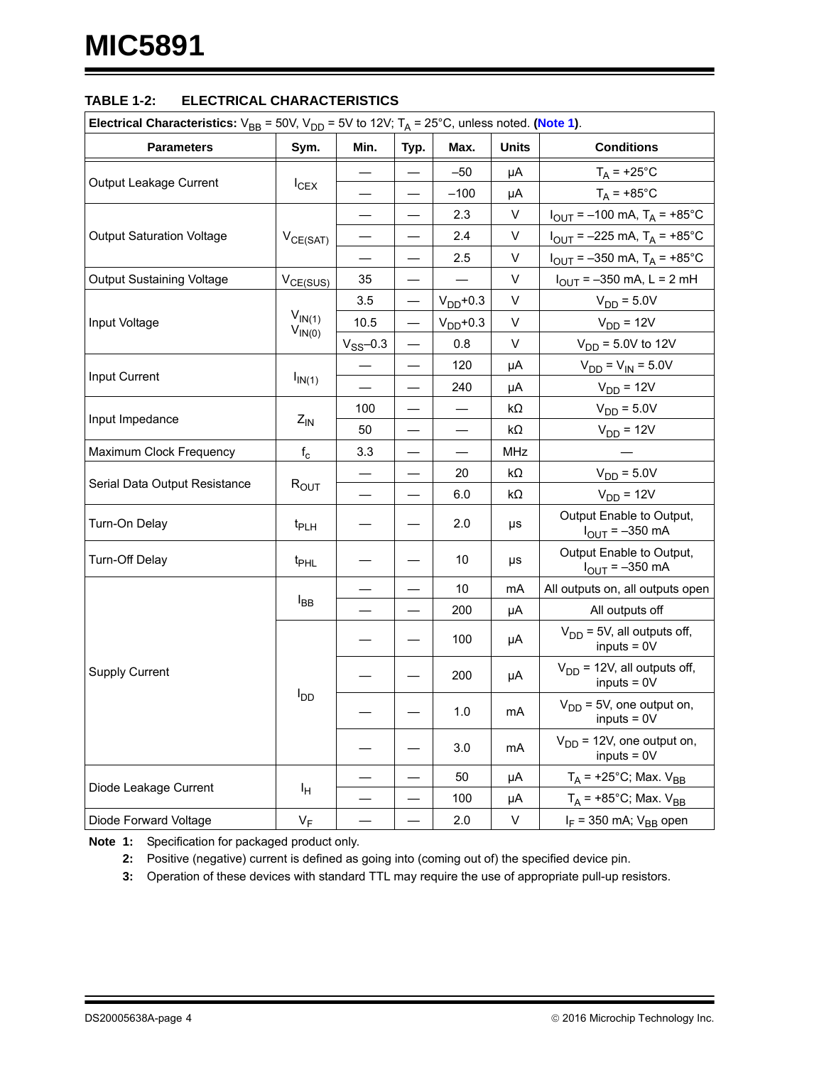### <span id="page-3-2"></span><span id="page-3-1"></span>**TABLE 1-2: ELECTRICAL CHARACTERISTICS**

| <b>Electrical Characteristics:</b> $V_{BB}$ = 50V, $V_{DD}$ = 5V to 12V; $T_A$ = 25°C, unless noted. (Note 1). |                            |                          |                          |               |              |                                                                |  |  |
|----------------------------------------------------------------------------------------------------------------|----------------------------|--------------------------|--------------------------|---------------|--------------|----------------------------------------------------------------|--|--|
| <b>Parameters</b>                                                                                              | Sym.                       | Min.                     | Typ.                     | Max.          | <b>Units</b> | <b>Conditions</b>                                              |  |  |
|                                                                                                                |                            |                          |                          | $-50$         | μA           | $T_A$ = +25°C                                                  |  |  |
| Output Leakage Current                                                                                         | $I_{CEX}$                  | $\overline{\phantom{0}}$ | —                        | $-100$        | μA           | $T_A$ = +85°C                                                  |  |  |
|                                                                                                                |                            |                          |                          | 2.3           | $\sf V$      | $I_{OUT} = -100$ mA, $T_A = +85^{\circ}$ C                     |  |  |
| <b>Output Saturation Voltage</b>                                                                               | $V_{CE(SAT)}$              |                          |                          | 2.4           | V            | $I_{OUT}$ = -225 mA, T <sub>A</sub> = +85°C                    |  |  |
|                                                                                                                |                            |                          | $\overline{\phantom{0}}$ | 2.5           | V            | $I_{OUT} = -350$ mA, $T_A = +85^{\circ}$ C                     |  |  |
| Output Sustaining Voltage                                                                                      | $V_{CE(SUS)}$              | 35                       |                          |               | $\vee$       | $I_{OUT} = -350$ mA, L = 2 mH                                  |  |  |
|                                                                                                                |                            | 3.5                      |                          | $V_{DD}$ +0.3 | V            | $V_{DD} = 5.0 V$                                               |  |  |
| Input Voltage                                                                                                  | $V_{IN(1)}$<br>$V_{IN(0)}$ | 10.5                     | $\overline{\phantom{0}}$ | $V_{DD}$ +0.3 | $\vee$       | $V_{DD}$ = 12V                                                 |  |  |
|                                                                                                                |                            | $V_{SS}$ -0.3            | $\equiv$                 | 0.8           | $\vee$       | $V_{DD} = 5.0V$ to 12V                                         |  |  |
| Input Current                                                                                                  |                            |                          |                          | 120           | μA           | $V_{DD} = V_{IN} = 5.0V$                                       |  |  |
|                                                                                                                | $I_{IN(1)}$                |                          | —                        | 240           | μA           | $V_{DD} = 12V$                                                 |  |  |
| Input Impedance                                                                                                |                            | 100                      |                          |               | kΩ           | $V_{DD} = 5.0V$                                                |  |  |
|                                                                                                                | $Z_{IN}$                   | 50                       |                          |               | $k\Omega$    | $V_{DD}$ = 12V                                                 |  |  |
| Maximum Clock Frequency                                                                                        | $\mathsf{f}_\mathsf{c}$    | 3.3                      | $\overline{\phantom{0}}$ |               | MHz          |                                                                |  |  |
| Serial Data Output Resistance                                                                                  |                            |                          |                          | 20            | $k\Omega$    | $V_{DD} = 5.0V$                                                |  |  |
|                                                                                                                | $R_{OUT}$                  |                          |                          | 6.0           | $k\Omega$    | $V_{DD}$ = 12V                                                 |  |  |
| Turn-On Delay                                                                                                  | t <sub>PLH</sub>           |                          |                          | 2.0           | μs           | Output Enable to Output,<br>$I_{\text{OUT}} = -350 \text{ mA}$ |  |  |
| <b>Turn-Off Delay</b>                                                                                          | t <sub>PHL</sub>           |                          |                          | 10            | μs           | Output Enable to Output,<br>$I_{\text{OUT}} = -350 \text{ mA}$ |  |  |
|                                                                                                                | $I_{BB}$                   |                          |                          | 10            | mA           | All outputs on, all outputs open                               |  |  |
|                                                                                                                |                            |                          |                          | 200           | μA           | All outputs off                                                |  |  |
|                                                                                                                |                            |                          |                          | 100           | μA           | $V_{DD}$ = 5V, all outputs off,<br>$inputs = 0V$               |  |  |
| <b>Supply Current</b>                                                                                          | <b>I</b> <sub>DD</sub>     |                          |                          | 200           | μA           | $V_{DD}$ = 12V, all outputs off,<br>$inputs = 0V$              |  |  |
|                                                                                                                |                            |                          |                          | 1.0           | mA           | $V_{DD}$ = 5V, one output on,<br>$inputs = 0V$                 |  |  |
|                                                                                                                |                            |                          |                          | 3.0           | mA           | $V_{DD}$ = 12V, one output on,<br>$inputs = 0V$                |  |  |
|                                                                                                                |                            |                          |                          | 50            | μA           | $T_A$ = +25°C; Max. $V_{BB}$                                   |  |  |
| Diode Leakage Current                                                                                          | Iн                         |                          |                          | 100           | μA           | $T_A$ = +85°C; Max. $V_{BB}$                                   |  |  |
| Diode Forward Voltage                                                                                          | $V_F$                      |                          |                          | 2.0           | $\mathsf V$  | $I_F$ = 350 mA; $V_{BB}$ open                                  |  |  |

<span id="page-3-0"></span>**Note 1:** Specification for packaged product only.

**2:** Positive (negative) current is defined as going into (coming out of) the specified device pin.

**3:** Operation of these devices with standard TTL may require the use of appropriate pull-up resistors.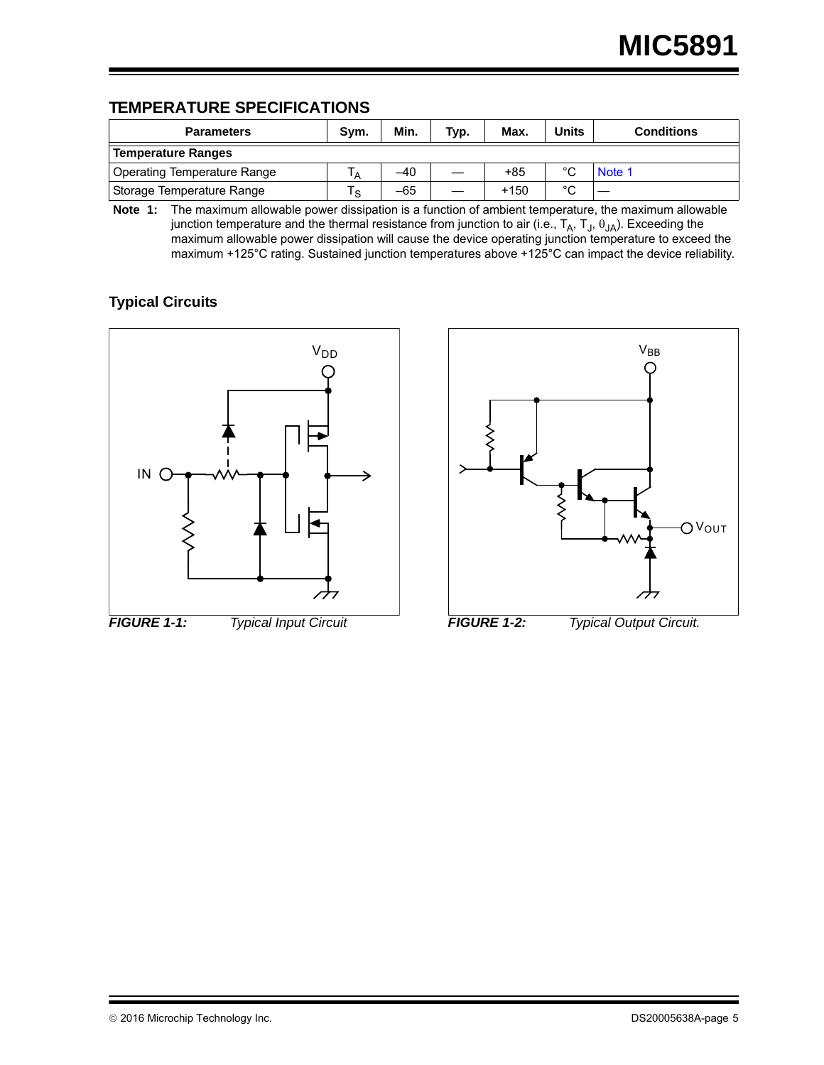### <span id="page-4-1"></span>**TEMPERATURE SPECIFICATIONS**

| <b>Parameters</b>           | Svm.   | Min.  | Typ. | Max.   | <b>Units</b> | <b>Conditions</b> |  |
|-----------------------------|--------|-------|------|--------|--------------|-------------------|--|
| <b>Temperature Ranges</b>   |        |       |      |        |              |                   |  |
| Operating Temperature Range | А      | $-40$ |      | $+85$  | $\sim$       | Note 1            |  |
| Storage Temperature Range   | $\sim$ | $-65$ |      | $+150$ | $\sim$       |                   |  |

<span id="page-4-0"></span>**Note 1:** The maximum allowable power dissipation is a function of ambient temperature, the maximum allowable junction temperature and the thermal resistance from junction to air (i.e.,  $T_A$ ,  $T_J$ ,  $\theta_{JA}$ ). Exceeding the maximum allowable power dissipation will cause the device operating junction temperature to exceed the maximum +125°C rating. Sustained junction temperatures above +125°C can impact the device reliability.

# **Typical Circuits**



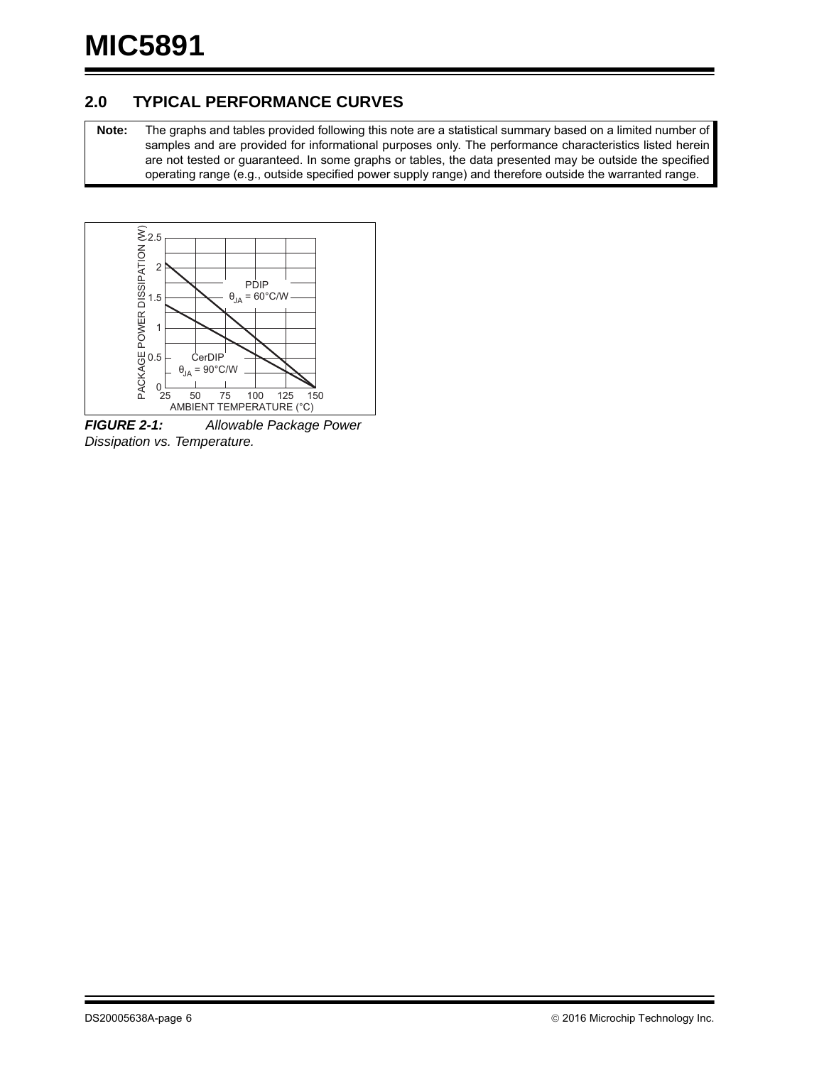# **2.0 TYPICAL PERFORMANCE CURVES**

**Note:** The graphs and tables provided following this note are a statistical summary based on a limited number of samples and are provided for informational purposes only. The performance characteristics listed herein are not tested or guaranteed. In some graphs or tables, the data presented may be outside the specified operating range (e.g., outside specified power supply range) and therefore outside the warranted range.



<span id="page-5-0"></span>*FIGURE 2-1: Allowable Package Power Dissipation vs. Temperature.*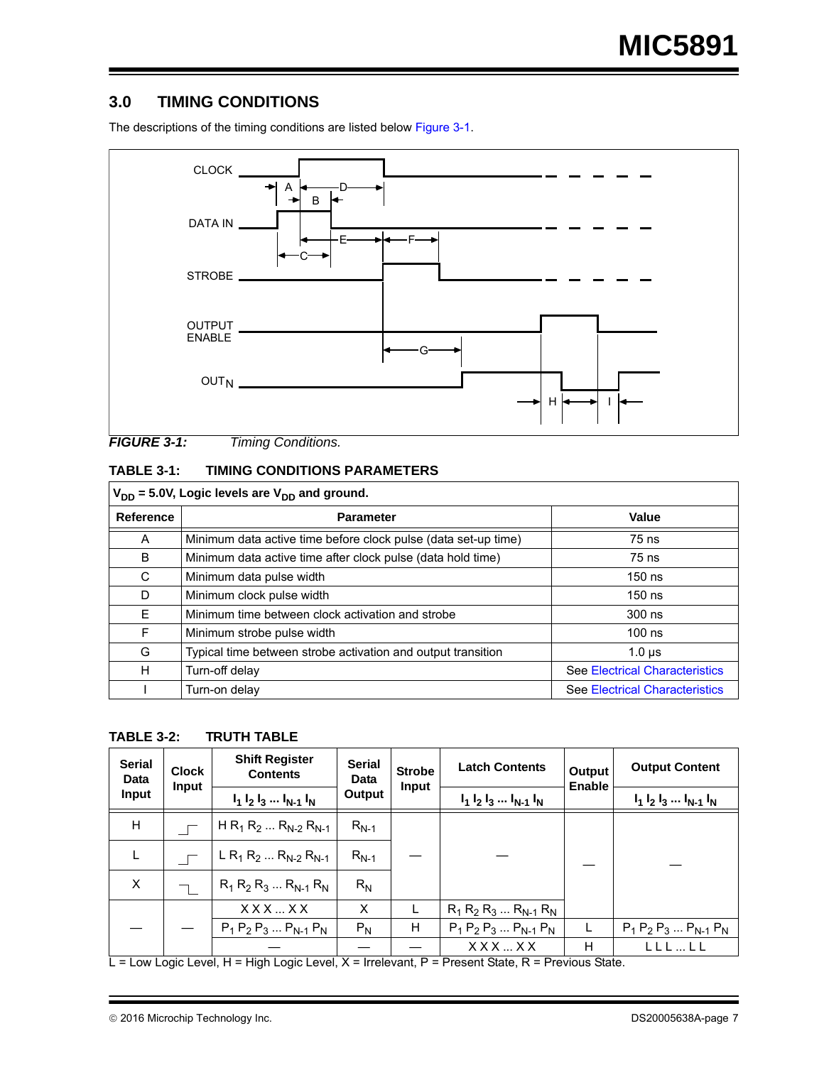# **3.0 TIMING CONDITIONS**

The descriptions of the timing conditions are listed below [Figure 3-1.](#page-6-0)



<span id="page-6-0"></span>*FIGURE 3-1: Timing Conditions.*

#### **TABLE 3-1: TIMING CONDITIONS PARAMETERS**

| $V_{DD}$ = 5.0V, Logic levels are $V_{DD}$ and ground. |                                                                |                                       |  |  |  |  |  |
|--------------------------------------------------------|----------------------------------------------------------------|---------------------------------------|--|--|--|--|--|
| Reference                                              | <b>Parameter</b>                                               | Value                                 |  |  |  |  |  |
| A                                                      | Minimum data active time before clock pulse (data set-up time) | 75 ns                                 |  |  |  |  |  |
| B                                                      | Minimum data active time after clock pulse (data hold time)    | 75 ns                                 |  |  |  |  |  |
| C                                                      | Minimum data pulse width                                       | $150$ ns                              |  |  |  |  |  |
| D                                                      | Minimum clock pulse width                                      | $150$ ns                              |  |  |  |  |  |
| E.                                                     | Minimum time between clock activation and strobe               | 300 ns                                |  |  |  |  |  |
| F                                                      | Minimum strobe pulse width                                     | $100$ ns                              |  |  |  |  |  |
| G                                                      | Typical time between strobe activation and output transition   | $1.0 \,\mathrm{\mu s}$                |  |  |  |  |  |
| н                                                      | Turn-off delay                                                 | <b>See Electrical Characteristics</b> |  |  |  |  |  |
|                                                        | Turn-on delay                                                  | <b>See Electrical Characteristics</b> |  |  |  |  |  |

#### **TABLE 3-2: TRUTH TABLE**

| <b>Serial</b><br><b>Data</b> | Clock<br>Input | <b>Shift Register</b><br><b>Contents</b>                                       | <b>Serial</b><br>Data | <b>Strobe</b><br><b>Input</b> |                                                                |                                        |                            | <b>Latch Contents</b> | Output<br>Enable | <b>Output Content</b> |
|------------------------------|----------------|--------------------------------------------------------------------------------|-----------------------|-------------------------------|----------------------------------------------------------------|----------------------------------------|----------------------------|-----------------------|------------------|-----------------------|
| <b>Input</b>                 |                | $I_1$ $I_2$ $I_3$ $I_{N-1}$ $I_N$                                              | Output                |                               | $I_1$ $I_2$ $I_3$ $I_{N-1}$ $I_N$                              |                                        | $I_1 I_2 I_3  I_{N-1} I_N$ |                       |                  |                       |
| H                            |                | $H R_1 R_2  R_{N-2} R_{N-1}$                                                   | $R_{N-1}$             |                               |                                                                |                                        |                            |                       |                  |                       |
| L                            |                | $LR_1 R_2  R_{N-2} R_{N-1}$                                                    | $R_{N-1}$             |                               |                                                                |                                        |                            |                       |                  |                       |
| X                            |                | $R_1 R_2 R_3  R_{N-1} R_N$                                                     | $R_N$                 |                               |                                                                |                                        |                            |                       |                  |                       |
|                              |                | $XXX$ $XX$                                                                     | X                     | L                             | $R_1 R_2 R_3  R_{N-1} R_N$                                     |                                        |                            |                       |                  |                       |
|                              |                | $P_1 P_2 P_3  P_{N-1} P_N$                                                     | $P_N$                 | H                             | $P_1 P_2 P_3  P_{N-1} P_N$                                     |                                        | $P_1 P_2 P_3  P_{N-1} P_N$ |                       |                  |                       |
|                              |                | $\mathbf{R}$ . The second contribution of the second contribution $\mathbf{R}$ |                       |                               | $XXX$ $XX$<br>$R_{\rm{max}}$ . $R_{\rm{max}}$ . $R_{\rm{max}}$ | H<br><b>DECK 1999</b><br>$\sim$ $\sim$ | LLLLL                      |                       |                  |                       |

 $L =$  Low Logic Level, H = High Logic Level, X = Irrelevant, P = Present State, R = Previous State.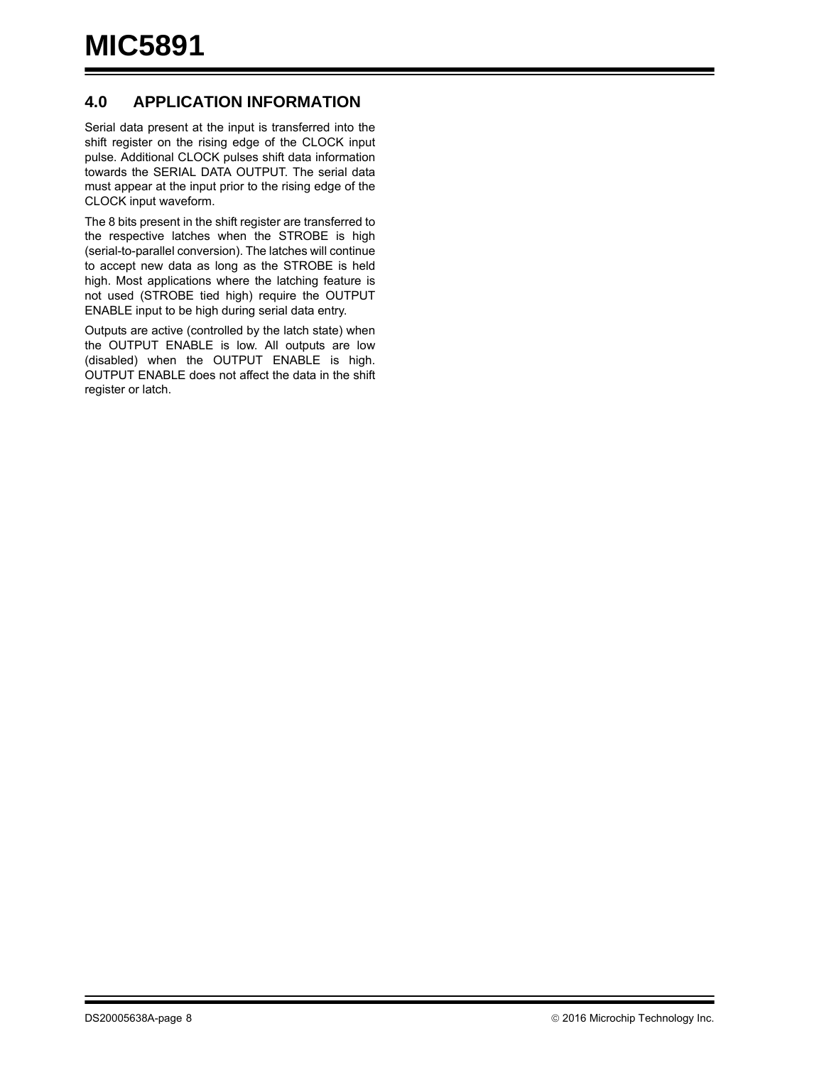# **4.0 APPLICATION INFORMATION**

Serial data present at the input is transferred into the shift register on the rising edge of the CLOCK input pulse. Additional CLOCK pulses shift data information towards the SERIAL DATA OUTPUT. The serial data must appear at the input prior to the rising edge of the CLOCK input waveform.

The 8 bits present in the shift register are transferred to the respective latches when the STROBE is high (serial-to-parallel conversion). The latches will continue to accept new data as long as the STROBE is held high. Most applications where the latching feature is not used (STROBE tied high) require the OUTPUT ENABLE input to be high during serial data entry.

Outputs are active (controlled by the latch state) when the OUTPUT ENABLE is low. All outputs are low (disabled) when the OUTPUT ENABLE is high. OUTPUT ENABLE does not affect the data in the shift register or latch.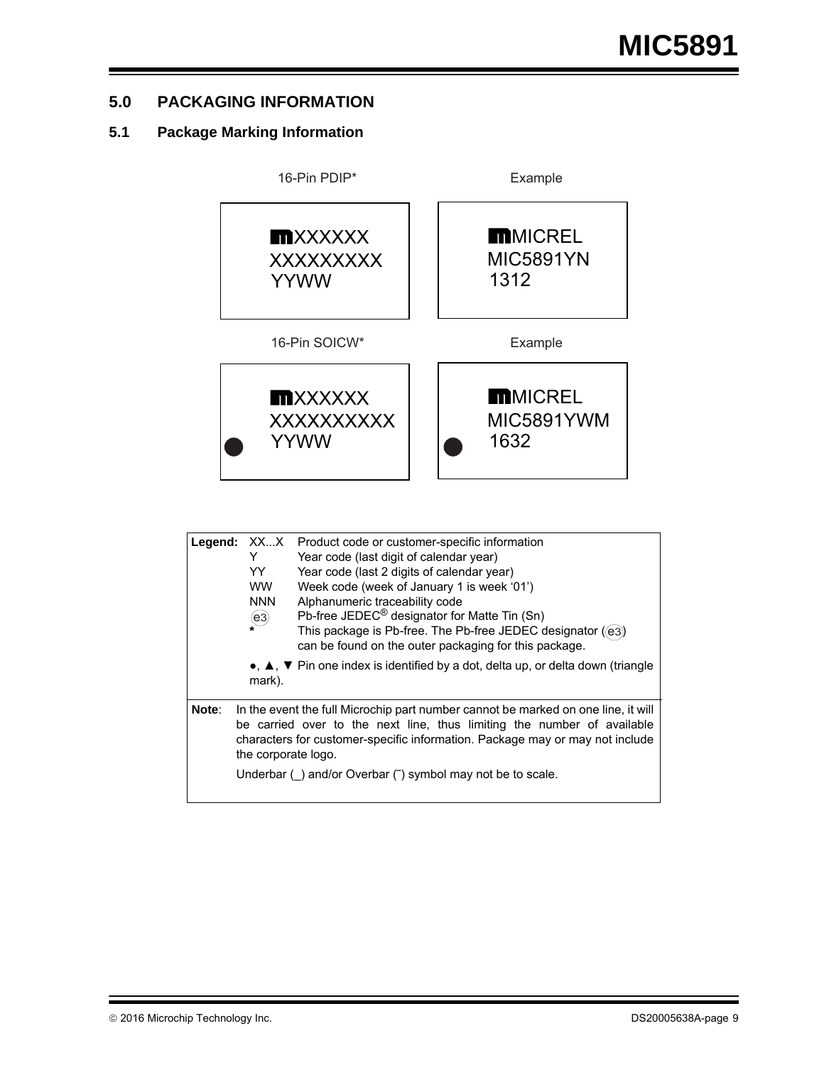# **5.0 PACKAGING INFORMATION**

## **5.1 Package Marking Information**



| Legend: | XX…X<br>Y<br>YY.<br><b>WW</b><br><b>NNN</b><br>(e3)<br>mark). | Product code or customer-specific information<br>Year code (last digit of calendar year)<br>Year code (last 2 digits of calendar year)<br>Week code (week of January 1 is week '01')<br>Alphanumeric traceability code<br>Pb-free JEDEC <sup>®</sup> designator for Matte Tin (Sn)<br>This package is Pb-free. The Pb-free JEDEC designator ((e3))<br>can be found on the outer packaging for this package.<br>$\bullet$ , $\blacktriangle$ , $\blacktriangledown$ Pin one index is identified by a dot, delta up, or delta down (triangle |
|---------|---------------------------------------------------------------|--------------------------------------------------------------------------------------------------------------------------------------------------------------------------------------------------------------------------------------------------------------------------------------------------------------------------------------------------------------------------------------------------------------------------------------------------------------------------------------------------------------------------------------------|
| Note:   | the corporate logo.                                           | In the event the full Microchip part number cannot be marked on one line, it will<br>be carried over to the next line, thus limiting the number of available<br>characters for customer-specific information. Package may or may not include<br>Underbar () and/or Overbar (-) symbol may not be to scale.                                                                                                                                                                                                                                 |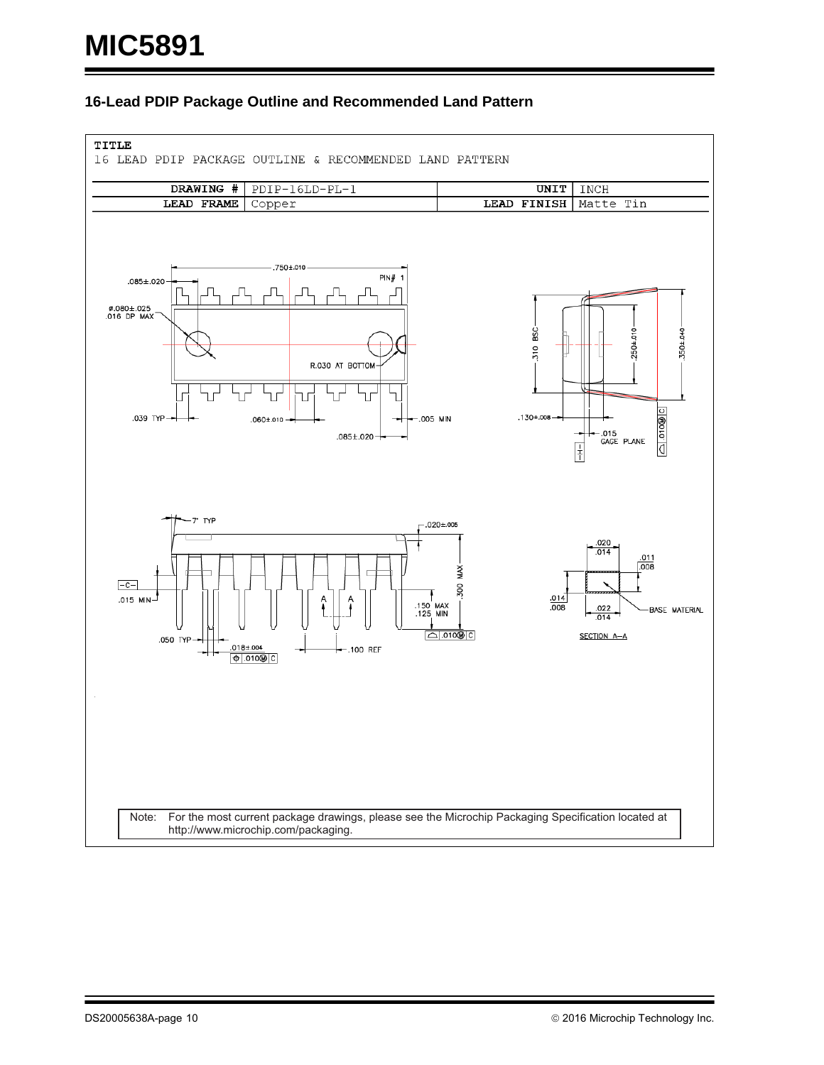

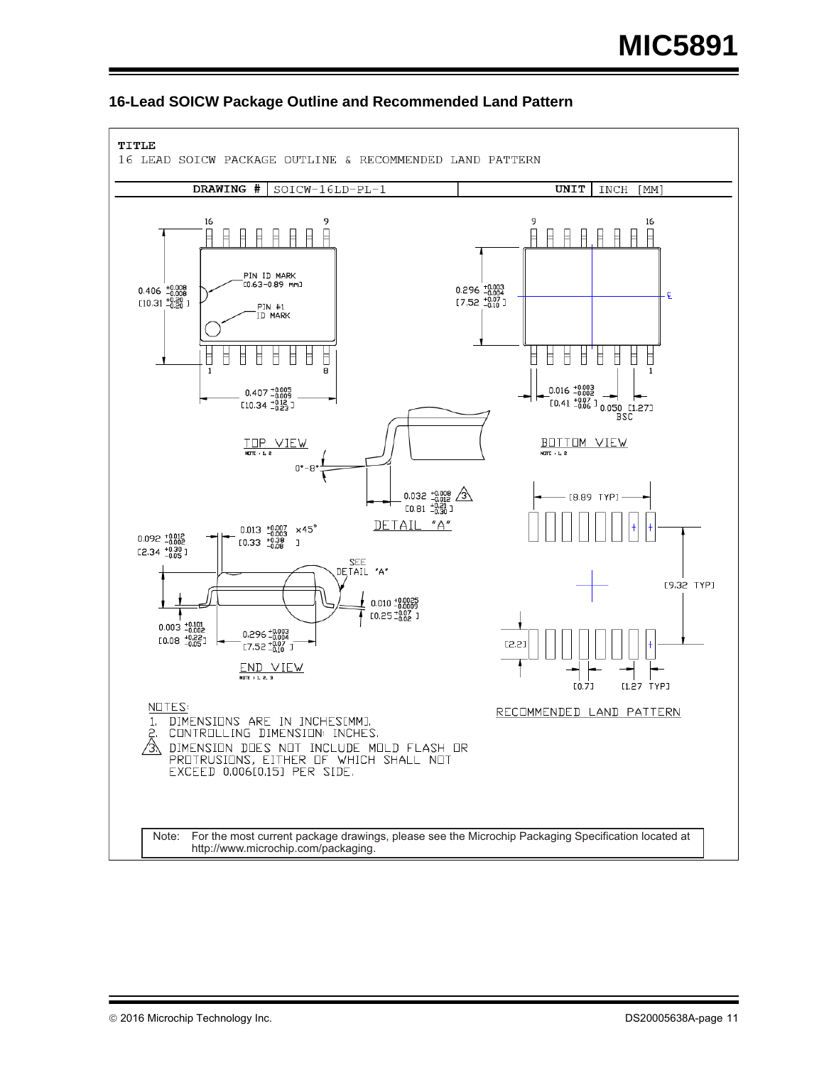

#### **16-Lead SOICW Package Outline and Recommended Land Pattern**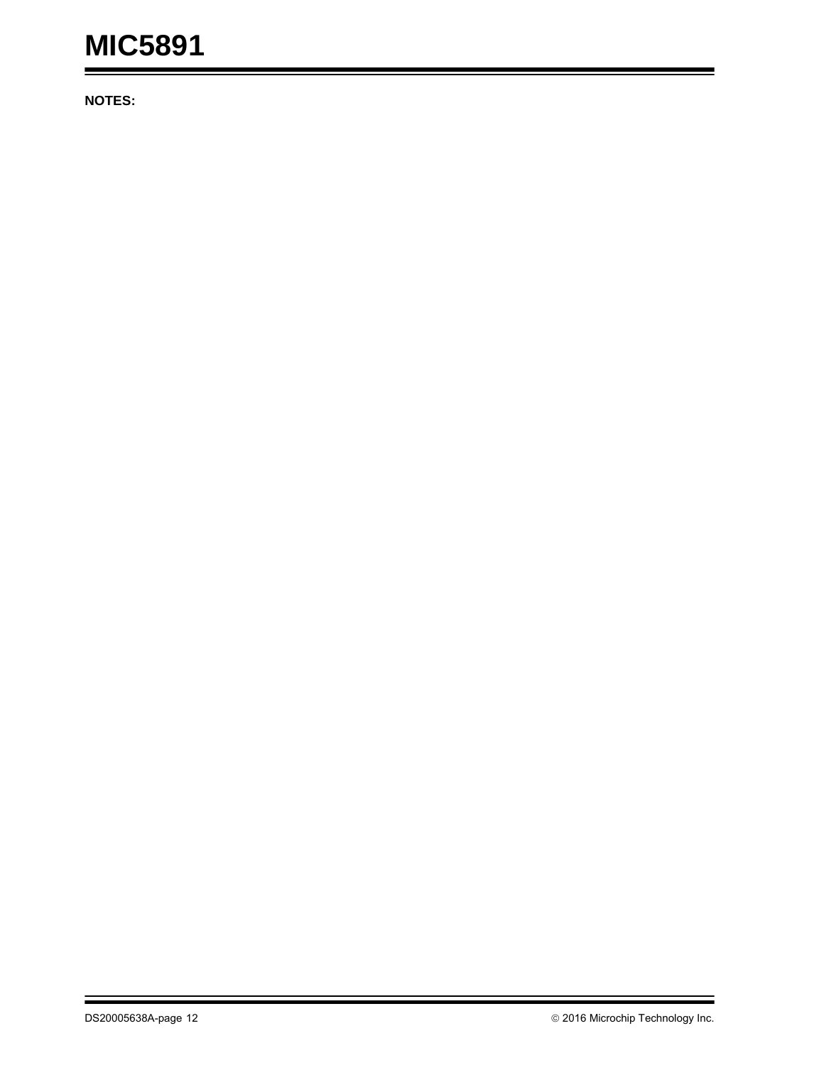**NOTES:**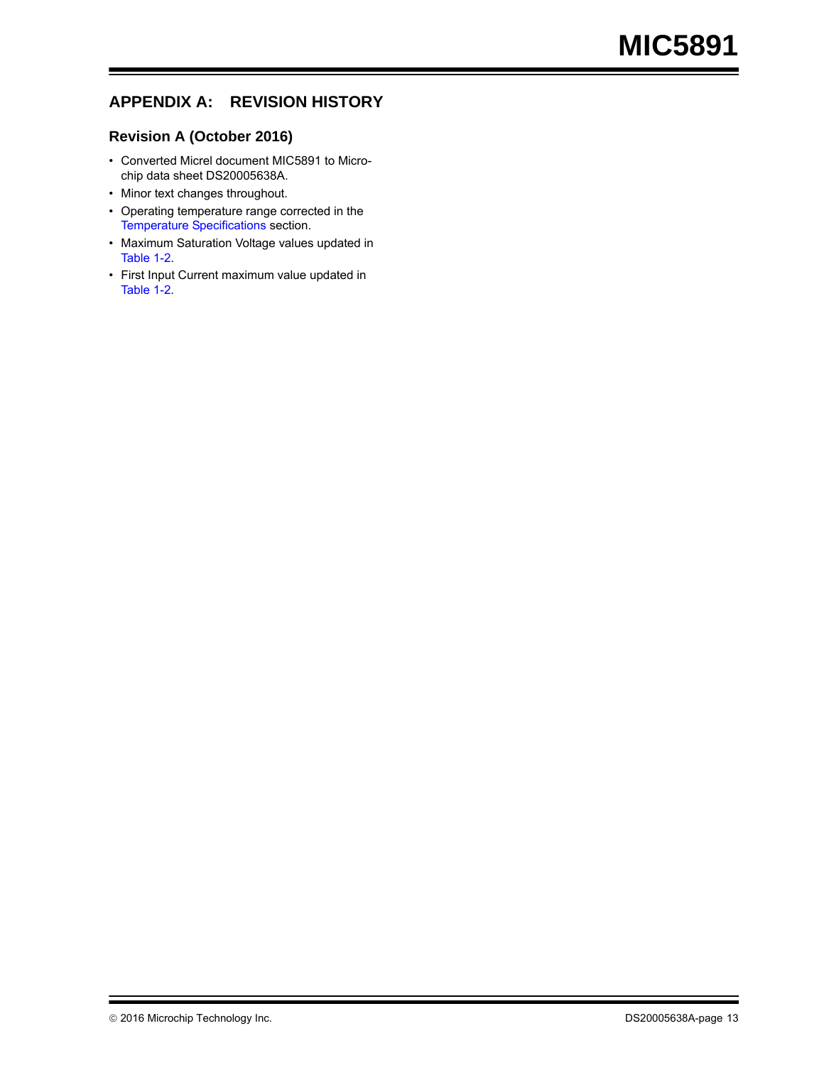# **APPENDIX A: REVISION HISTORY**

### **Revision A (October 2016)**

- Converted Micrel document MIC5891 to Microchip data sheet DS20005638A.
- Minor text changes throughout.
- Operating temperature range corrected in the [Temperature Specifications](#page-4-1) section.
- Maximum Saturation Voltage values updated in [Table 1-2.](#page-3-2)
- First Input Current maximum value updated in [Table 1-2.](#page-3-2)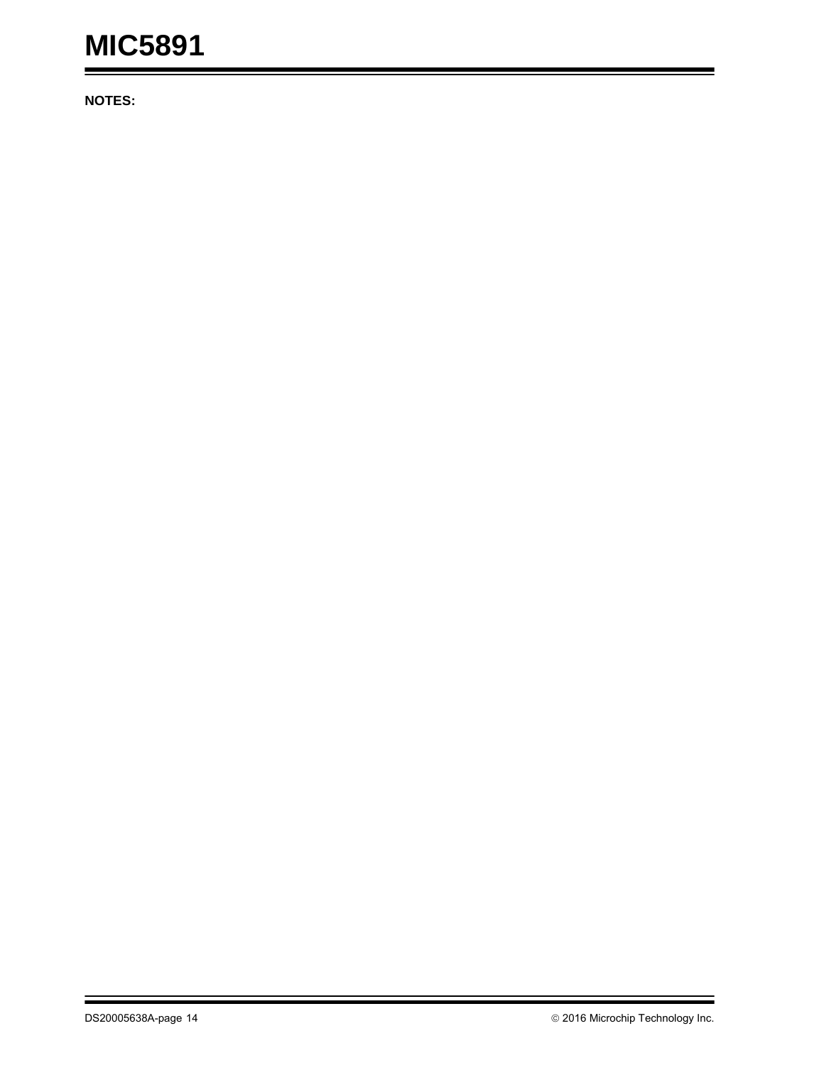**NOTES:**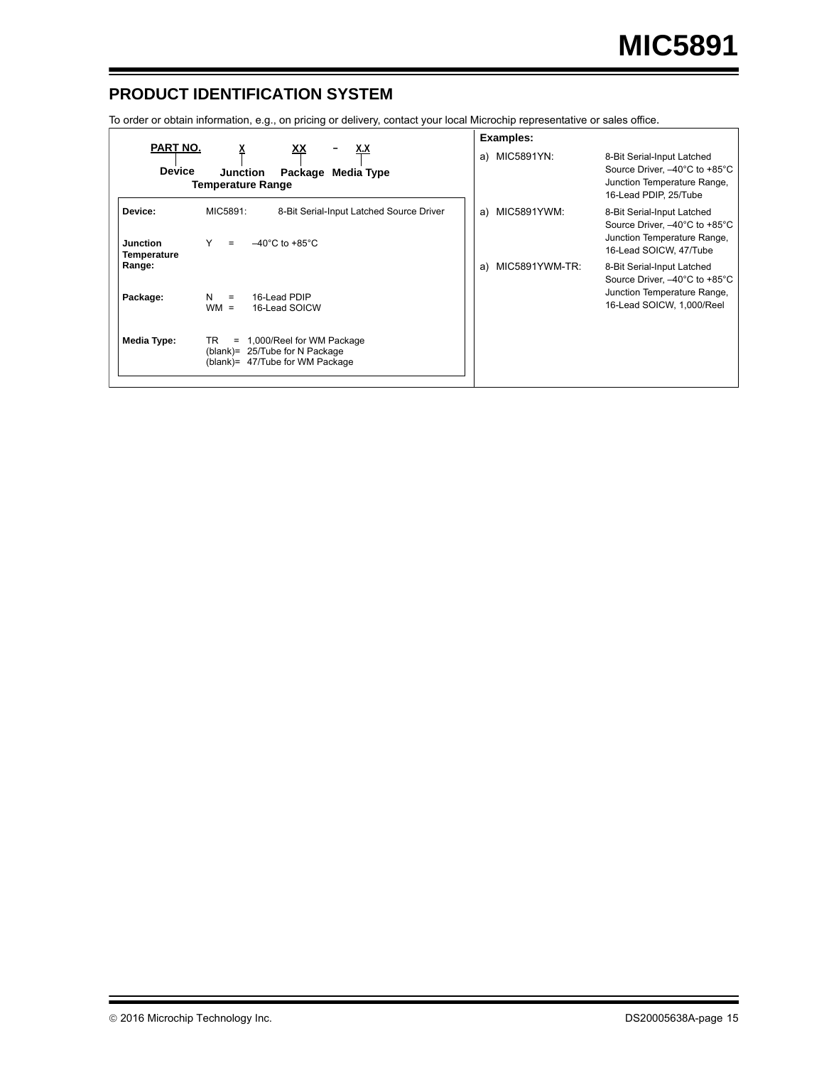# **PRODUCT IDENTIFICATION SYSTEM**

To order or obtain information, e.g., on pricing or delivery, contact your local Microchip representative or sales office.

| PART NO.                                  |                                                                                                         | Examples:            |                                                                                                                      |  |  |
|-------------------------------------------|---------------------------------------------------------------------------------------------------------|----------------------|----------------------------------------------------------------------------------------------------------------------|--|--|
| <b>Device</b>                             | X.X<br>xх<br><b>Media Type</b><br>Package<br><b>Junction</b><br><b>Temperature Range</b>                | a) MIC5891YN:        | 8-Bit Serial-Input Latched<br>Source Driver, -40°C to +85°C<br>Junction Temperature Range,<br>16-Lead PDIP, 25/Tube  |  |  |
| Device:<br><b>Junction</b><br>Temperature | MIC5891:<br>8-Bit Serial-Input Latched Source Driver<br>$-40^{\circ}$ C to $+85^{\circ}$ C<br>$=$       | a) MIC5891YWM:       | 8-Bit Serial-Input Latched<br>Source Driver, -40°C to +85°C<br>Junction Temperature Range,<br>16-Lead SOICW, 47/Tube |  |  |
| Range:<br>Package:                        | N.<br>16-Lead PDIP<br>$\equiv$                                                                          | MIC5891YWM-TR:<br>a) | 8-Bit Serial-Input Latched<br>Source Driver, -40°C to +85°C<br>Junction Temperature Range,                           |  |  |
| Media Type:                               | $WM =$<br>16-Lead SOICW<br>TRI<br>1,000/Reel for WM Package<br>$=$<br>25/Tube for N Package<br>(blank)= |                      | 16-Lead SOICW, 1,000/Reel                                                                                            |  |  |
|                                           | (blank)= 47/Tube for WM Package                                                                         |                      |                                                                                                                      |  |  |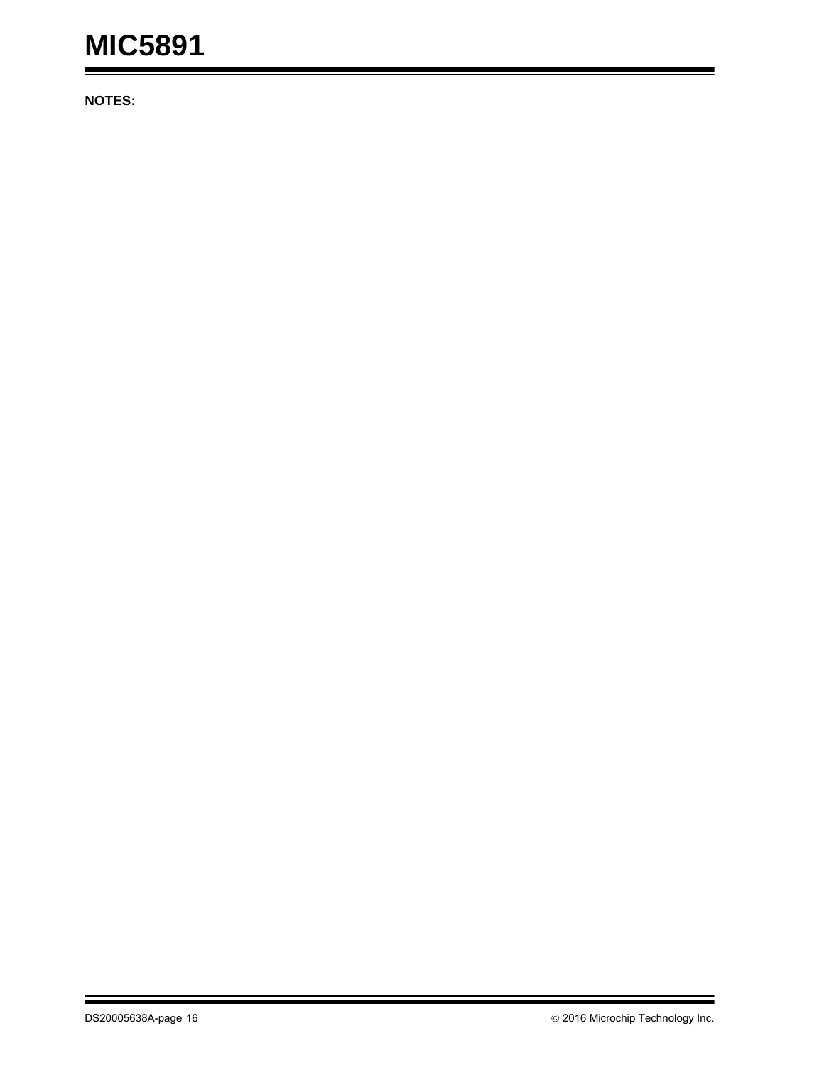**NOTES:**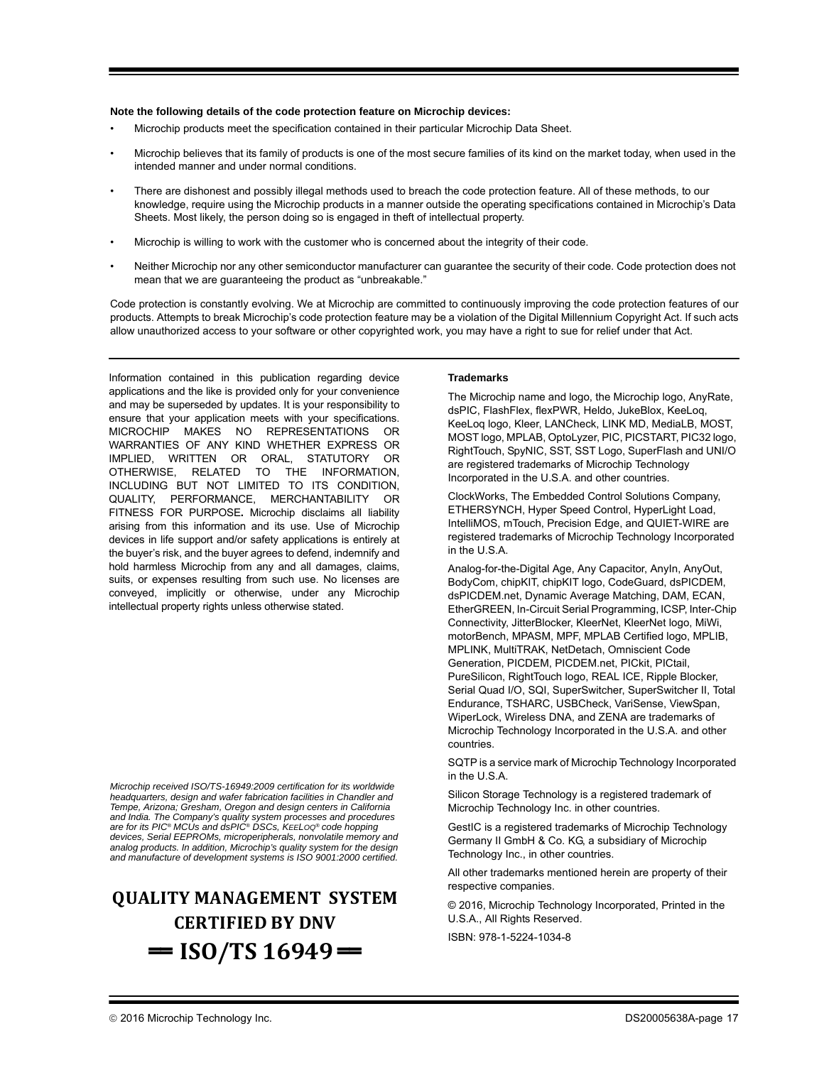#### **Note the following details of the code protection feature on Microchip devices:**

- Microchip products meet the specification contained in their particular Microchip Data Sheet.
- Microchip believes that its family of products is one of the most secure families of its kind on the market today, when used in the intended manner and under normal conditions.
- There are dishonest and possibly illegal methods used to breach the code protection feature. All of these methods, to our knowledge, require using the Microchip products in a manner outside the operating specifications contained in Microchip's Data Sheets. Most likely, the person doing so is engaged in theft of intellectual property.
- Microchip is willing to work with the customer who is concerned about the integrity of their code.
- Neither Microchip nor any other semiconductor manufacturer can guarantee the security of their code. Code protection does not mean that we are guaranteeing the product as "unbreakable."

Code protection is constantly evolving. We at Microchip are committed to continuously improving the code protection features of our products. Attempts to break Microchip's code protection feature may be a violation of the Digital Millennium Copyright Act. If such acts allow unauthorized access to your software or other copyrighted work, you may have a right to sue for relief under that Act.

Information contained in this publication regarding device applications and the like is provided only for your convenience and may be superseded by updates. It is your responsibility to ensure that your application meets with your specifications. MICROCHIP MAKES NO REPRESENTATIONS OR WARRANTIES OF ANY KIND WHETHER EXPRESS OR IMPLIED, WRITTEN OR ORAL, STATUTORY OR OTHERWISE, RELATED TO THE INFORMATION, INCLUDING BUT NOT LIMITED TO ITS CONDITION, QUALITY, PERFORMANCE, MERCHANTABILITY OR FITNESS FOR PURPOSE**.** Microchip disclaims all liability arising from this information and its use. Use of Microchip devices in life support and/or safety applications is entirely at the buyer's risk, and the buyer agrees to defend, indemnify and hold harmless Microchip from any and all damages, claims, suits, or expenses resulting from such use. No licenses are conveyed, implicitly or otherwise, under any Microchip intellectual property rights unless otherwise stated.

*Microchip received ISO/TS-16949:2009 certification for its worldwide headquarters, design and wafer fabrication facilities in Chandler and Tempe, Arizona; Gresham, Oregon and design centers in California and India. The Company's quality system processes and procedures are for its PIC® MCUs and dsPIC® DSCs, KEELOQ® code hopping devices, Serial EEPROMs, microperipherals, nonvolatile memory and analog products. In addition, Microchip's quality system for the design and manufacture of development systems is ISO 9001:2000 certified.*

# **QUALITY MANAGEMENT SYSTEM CERTIFIED BY DNV**  $=$  **ISO/TS** 16949 $=$

#### **Trademarks**

The Microchip name and logo, the Microchip logo, AnyRate, dsPIC, FlashFlex, flexPWR, Heldo, JukeBlox, KeeLoq, KeeLoq logo, Kleer, LANCheck, LINK MD, MediaLB, MOST, MOST logo, MPLAB, OptoLyzer, PIC, PICSTART, PIC32 logo, RightTouch, SpyNIC, SST, SST Logo, SuperFlash and UNI/O are registered trademarks of Microchip Technology Incorporated in the U.S.A. and other countries.

ClockWorks, The Embedded Control Solutions Company, ETHERSYNCH, Hyper Speed Control, HyperLight Load, IntelliMOS, mTouch, Precision Edge, and QUIET-WIRE are registered trademarks of Microchip Technology Incorporated in the U.S.A.

Analog-for-the-Digital Age, Any Capacitor, AnyIn, AnyOut, BodyCom, chipKIT, chipKIT logo, CodeGuard, dsPICDEM, dsPICDEM.net, Dynamic Average Matching, DAM, ECAN, EtherGREEN, In-Circuit Serial Programming, ICSP, Inter-Chip Connectivity, JitterBlocker, KleerNet, KleerNet logo, MiWi, motorBench, MPASM, MPF, MPLAB Certified logo, MPLIB, MPLINK, MultiTRAK, NetDetach, Omniscient Code Generation, PICDEM, PICDEM.net, PICkit, PICtail, PureSilicon, RightTouch logo, REAL ICE, Ripple Blocker, Serial Quad I/O, SQI, SuperSwitcher, SuperSwitcher II, Total Endurance, TSHARC, USBCheck, VariSense, ViewSpan, WiperLock, Wireless DNA, and ZENA are trademarks of Microchip Technology Incorporated in the U.S.A. and other countries.

SQTP is a service mark of Microchip Technology Incorporated in the U.S.A.

Silicon Storage Technology is a registered trademark of Microchip Technology Inc. in other countries.

GestIC is a registered trademarks of Microchip Technology Germany II GmbH & Co. KG, a subsidiary of Microchip Technology Inc., in other countries.

All other trademarks mentioned herein are property of their respective companies.

© 2016, Microchip Technology Incorporated, Printed in the U.S.A., All Rights Reserved.

ISBN: 978-1-5224-1034-8